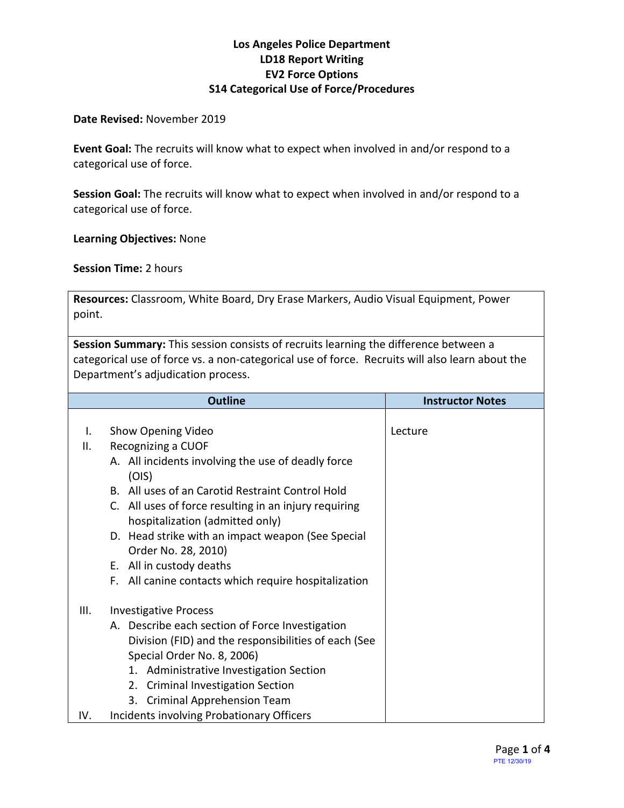#### **Los Angeles Police Department LD18 Report Writing EV2 Force Options S14 Categorical Use of Force/Procedures**

#### **Date Revised:** November 2019

**Event Goal:** The recruits will know what to expect when involved in and/or respond to a categorical use of force.

**Session Goal:** The recruits will know what to expect when involved in and/or respond to a categorical use of force.

**Learning Objectives:** None

**Session Time:** 2 hours

**Resources:** Classroom, White Board, Dry Erase Markers, Audio Visual Equipment, Power point.

**Session Summary:** This session consists of recruits learning the difference between a categorical use of force vs. a non-categorical use of force. Recruits will also learn about the Department's adjudication process.

|      | <b>Outline</b>                                                                           | <b>Instructor Notes</b> |
|------|------------------------------------------------------------------------------------------|-------------------------|
|      |                                                                                          |                         |
| Ι.   | Show Opening Video                                                                       | Lecture                 |
| Ⅱ.   | Recognizing a CUOF                                                                       |                         |
|      | A. All incidents involving the use of deadly force<br>(OIS)                              |                         |
|      | B. All uses of an Carotid Restraint Control Hold                                         |                         |
|      | C. All uses of force resulting in an injury requiring<br>hospitalization (admitted only) |                         |
|      | D. Head strike with an impact weapon (See Special<br>Order No. 28, 2010)                 |                         |
|      | E. All in custody deaths                                                                 |                         |
|      | F. All canine contacts which require hospitalization                                     |                         |
| III. | <b>Investigative Process</b>                                                             |                         |
|      | A. Describe each section of Force Investigation                                          |                         |
|      | Division (FID) and the responsibilities of each (See                                     |                         |
|      | Special Order No. 8, 2006)                                                               |                         |
|      | 1. Administrative Investigation Section                                                  |                         |
|      | 2. Criminal Investigation Section                                                        |                         |
|      | <b>Criminal Apprehension Team</b><br>3.                                                  |                         |
| IV.  | <b>Incidents involving Probationary Officers</b>                                         |                         |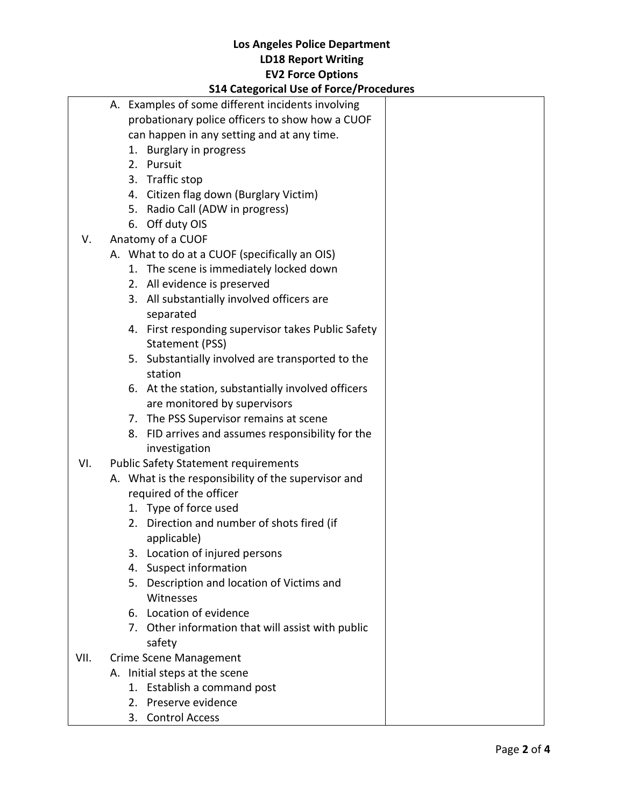## **Los Angeles Police Department LD18 Report Writing EV2 Force Options**

|      |    | <b>S14 Categorical Use of Force/Procedures</b>                                     |  |  |  |
|------|----|------------------------------------------------------------------------------------|--|--|--|
|      |    | A. Examples of some different incidents involving                                  |  |  |  |
|      |    | probationary police officers to show how a CUOF                                    |  |  |  |
|      |    | can happen in any setting and at any time.                                         |  |  |  |
|      |    | 1. Burglary in progress                                                            |  |  |  |
|      |    | 2. Pursuit                                                                         |  |  |  |
|      |    | 3. Traffic stop                                                                    |  |  |  |
|      |    | 4. Citizen flag down (Burglary Victim)                                             |  |  |  |
|      |    | 5. Radio Call (ADW in progress)                                                    |  |  |  |
|      |    | 6. Off duty OIS                                                                    |  |  |  |
| V.   |    | Anatomy of a CUOF                                                                  |  |  |  |
|      |    | A. What to do at a CUOF (specifically an OIS)                                      |  |  |  |
|      |    | 1. The scene is immediately locked down                                            |  |  |  |
|      |    | 2. All evidence is preserved                                                       |  |  |  |
|      |    | 3. All substantially involved officers are<br>separated                            |  |  |  |
|      |    | 4. First responding supervisor takes Public Safety<br>Statement (PSS)              |  |  |  |
|      |    | 5. Substantially involved are transported to the                                   |  |  |  |
|      |    | station                                                                            |  |  |  |
|      |    | 6. At the station, substantially involved officers<br>are monitored by supervisors |  |  |  |
|      | 7. | The PSS Supervisor remains at scene                                                |  |  |  |
|      |    | 8. FID arrives and assumes responsibility for the                                  |  |  |  |
|      |    | investigation                                                                      |  |  |  |
| VI.  |    | <b>Public Safety Statement requirements</b>                                        |  |  |  |
|      |    | A. What is the responsibility of the supervisor and                                |  |  |  |
|      |    | required of the officer                                                            |  |  |  |
|      |    | 1. Type of force used                                                              |  |  |  |
|      |    | 2. Direction and number of shots fired (if<br>applicable)                          |  |  |  |
|      |    | 3. Location of injured persons                                                     |  |  |  |
|      |    | 4. Suspect information                                                             |  |  |  |
|      |    | 5. Description and location of Victims and                                         |  |  |  |
|      |    | Witnesses                                                                          |  |  |  |
|      |    | 6. Location of evidence                                                            |  |  |  |
|      |    | 7. Other information that will assist with public<br>safety                        |  |  |  |
| VII. |    | <b>Crime Scene Management</b>                                                      |  |  |  |
|      |    | A. Initial steps at the scene                                                      |  |  |  |
|      |    | 1. Establish a command post                                                        |  |  |  |
|      |    | 2. Preserve evidence                                                               |  |  |  |
|      |    |                                                                                    |  |  |  |

3. Control Access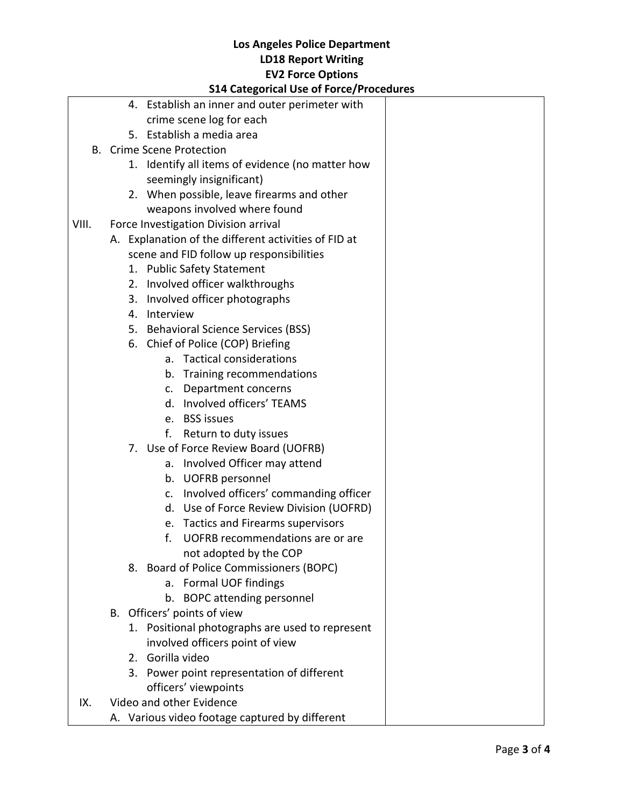## **Los Angeles Police Department LD18 Report Writing EV2 Force Options**

#### **S14 Categorical Use of Force/Procedures**

|       |                                                | 4. Establish an inner and outer perimeter with       |  |  |  |
|-------|------------------------------------------------|------------------------------------------------------|--|--|--|
|       |                                                | crime scene log for each                             |  |  |  |
|       |                                                | 5. Establish a media area                            |  |  |  |
| В.    |                                                | <b>Crime Scene Protection</b>                        |  |  |  |
|       |                                                | 1. Identify all items of evidence (no matter how     |  |  |  |
|       |                                                | seemingly insignificant)                             |  |  |  |
|       |                                                | 2. When possible, leave firearms and other           |  |  |  |
|       |                                                | weapons involved where found                         |  |  |  |
| VIII. |                                                | Force Investigation Division arrival                 |  |  |  |
|       |                                                | A. Explanation of the different activities of FID at |  |  |  |
|       |                                                | scene and FID follow up responsibilities             |  |  |  |
|       |                                                | 1. Public Safety Statement                           |  |  |  |
|       |                                                | 2. Involved officer walkthroughs                     |  |  |  |
|       | 3.                                             | Involved officer photographs                         |  |  |  |
|       | 4.                                             | Interview                                            |  |  |  |
|       |                                                | 5. Behavioral Science Services (BSS)                 |  |  |  |
|       |                                                | 6. Chief of Police (COP) Briefing                    |  |  |  |
|       |                                                | a. Tactical considerations                           |  |  |  |
|       |                                                | b. Training recommendations                          |  |  |  |
|       |                                                | c. Department concerns                               |  |  |  |
|       |                                                | d. Involved officers' TEAMS                          |  |  |  |
|       |                                                | e. BSS issues                                        |  |  |  |
|       |                                                | Return to duty issues<br>f.                          |  |  |  |
|       |                                                | 7. Use of Force Review Board (UOFRB)                 |  |  |  |
|       |                                                | a. Involved Officer may attend                       |  |  |  |
|       |                                                | b. UOFRB personnel                                   |  |  |  |
|       |                                                | c. Involved officers' commanding officer             |  |  |  |
|       |                                                | d. Use of Force Review Division (UOFRD)              |  |  |  |
|       |                                                | e. Tactics and Firearms supervisors                  |  |  |  |
|       |                                                | f.<br>UOFRB recommendations are or are               |  |  |  |
|       |                                                | not adopted by the COP                               |  |  |  |
|       |                                                | 8. Board of Police Commissioners (BOPC)              |  |  |  |
|       |                                                | a. Formal UOF findings                               |  |  |  |
|       |                                                | b. BOPC attending personnel                          |  |  |  |
|       |                                                | B. Officers' points of view                          |  |  |  |
|       |                                                | 1. Positional photographs are used to represent      |  |  |  |
|       |                                                | involved officers point of view                      |  |  |  |
|       |                                                | 2. Gorilla video                                     |  |  |  |
|       | 3.                                             |                                                      |  |  |  |
|       |                                                | Power point representation of different              |  |  |  |
| IX.   |                                                | officers' viewpoints                                 |  |  |  |
|       | Video and other Evidence                       |                                                      |  |  |  |
|       | A. Various video footage captured by different |                                                      |  |  |  |